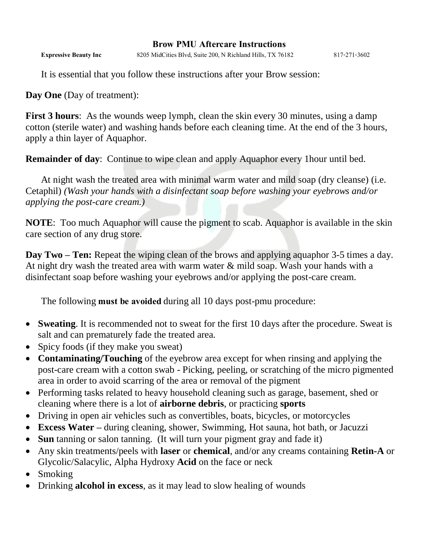## **Brow PMU Aftercare Instructions**

**Expressive Beauty Inc** 8205 MidCities Blvd, Suite 200, N Richland Hills, TX 76182 817-271-3602

It is essential that you follow these instructions after your Brow session:

**Day One** (Day of treatment):

**First 3 hours**: As the wounds weep lymph, clean the skin every 30 minutes, using a damp cotton (sterile water) and washing hands before each cleaning time. At the end of the 3 hours, apply a thin layer of Aquaphor.

**Remainder of day**: Continue to wipe clean and apply Aquaphor every 1hour until bed.

At night wash the treated area with minimal warm water and mild soap (dry cleanse) (i.e. Cetaphil) *(Wash your hands with a disinfectant soap before washing your eyebrows and/or applying the post-care cream.)*

**NOTE**: Too much Aquaphor will cause the pigment to scab. Aquaphor is available in the skin care section of any drug store.

**Day Two – Ten:** Repeat the wiping clean of the brows and applying aquaphor 3-5 times a day. At night dry wash the treated area with warm water & mild soap. Wash your hands with a disinfectant soap before washing your eyebrows and/or applying the post-care cream.

The following **must be avoided** during all 10 days post-pmu procedure:

- **Sweating**. It is recommended not to sweat for the first 10 days after the procedure. Sweat is salt and can prematurely fade the treated area.
- Spicy foods (if they make you sweat)
- **Contaminating/Touching** of the eyebrow area except for when rinsing and applying the post-care cream with a cotton swab - Picking, peeling, or scratching of the micro pigmented area in order to avoid scarring of the area or removal of the pigment
- Performing tasks related to heavy household cleaning such as garage, basement, shed or cleaning where there is a lot of **airborne debris**, or practicing **sports**
- Driving in open air vehicles such as convertibles, boats, bicycles, or motorcycles
- **Excess Water –** during cleaning, shower, Swimming, Hot sauna, hot bath, or Jacuzzi
- **Sun** tanning or salon tanning. (It will turn your pigment gray and fade it)
- Any skin treatments/peels with **laser** or **chemical**, and/or any creams containing **Retin-A** or Glycolic/Salacylic, Alpha Hydroxy **Acid** on the face or neck
- Smoking
- Drinking **alcohol in excess**, as it may lead to slow healing of wounds